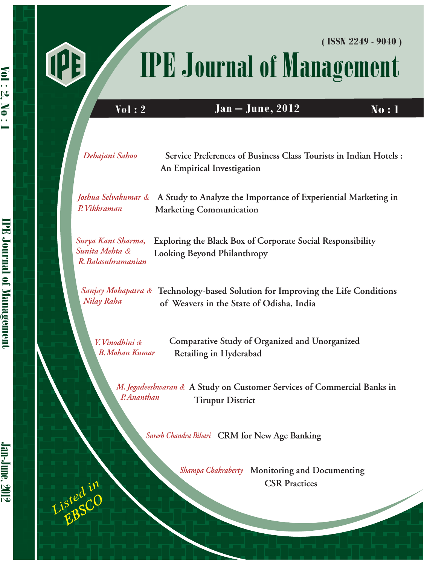# UB

# IPE Journal of Management **( ISSN 2249 - 9040 )**

**Vol** : 2 **Jan – June, 2012 No : 1** 

| Debajani Sahoo                                             | Service Preferences of Business Class Tourists in Indian Hotels :<br>An Empirical Investigation                            |
|------------------------------------------------------------|----------------------------------------------------------------------------------------------------------------------------|
| P. Vikkraman                                               | Joshua Selvakumar & A Study to Analyze the Importance of Experiential Marketing in<br><b>Marketing Communication</b>       |
| Surya Kant Sharma,<br>Sunita Mehta &<br>R. Balasubramanian | Exploring the Black Box of Corporate Social Responsibility<br>Looking Beyond Philanthropy                                  |
| Nilay Raha                                                 | Sanjay Mohapatra & Technology-based Solution for Improving the Life Conditions<br>of Weavers in the State of Odisha, India |
| Y. Vinodhini &<br><b>B.</b> Mohan Kumar                    | Comparative Study of Organized and Unorganized<br>Retailing in Hyderabad                                                   |

**A Study on Customer Services of Commercial Banks in**   *M. Jegadeeshwaran &*  **Tirupur District**  *P.Ananthan*

*Suresh Chandra Bihari* **CRM for New Age Banking**

**Shampa Chakraberty** Monitoring and Documenting  **CSR Practices**

 $\overline{\phantom{a}}$ 

*EBSCO Listed in* 

Vol : 2, No : 1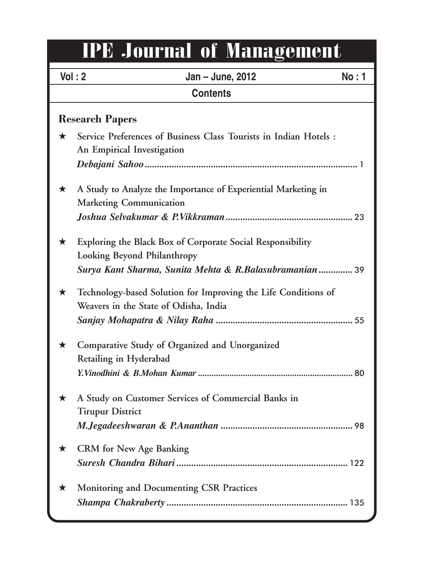# IPE Journal of Management

|                        | Vol: 2<br>Jan - June, 2012<br><b>No:1</b>                                                               |  |  |
|------------------------|---------------------------------------------------------------------------------------------------------|--|--|
| <b>Contents</b>        |                                                                                                         |  |  |
| <b>Research Papers</b> |                                                                                                         |  |  |
| $\star$                | Service Preferences of Business Class Tourists in Indian Hotels :<br>An Empirical Investigation         |  |  |
|                        |                                                                                                         |  |  |
| $\star$                | A Study to Analyze the Importance of Experiential Marketing in<br><b>Marketing Communication</b>        |  |  |
|                        |                                                                                                         |  |  |
| $\star$                | Exploring the Black Box of Corporate Social Responsibility<br>Looking Beyond Philanthropy               |  |  |
|                        | Surya Kant Sharma, Sunita Mehta & R.Balasubramanian  39                                                 |  |  |
| $\star$                | Technology-based Solution for Improving the Life Conditions of<br>Weavers in the State of Odisha, India |  |  |
|                        |                                                                                                         |  |  |
| $\star$                | Comparative Study of Organized and Unorganized<br>Retailing in Hyderabad                                |  |  |
|                        |                                                                                                         |  |  |
| ★                      | A Study on Customer Services of Commercial Banks in<br><b>Tirupur District</b>                          |  |  |
|                        |                                                                                                         |  |  |
| ★                      | <b>CRM</b> for New Age Banking                                                                          |  |  |
|                        |                                                                                                         |  |  |
| ★                      | <b>Monitoring and Documenting CSR Practices</b>                                                         |  |  |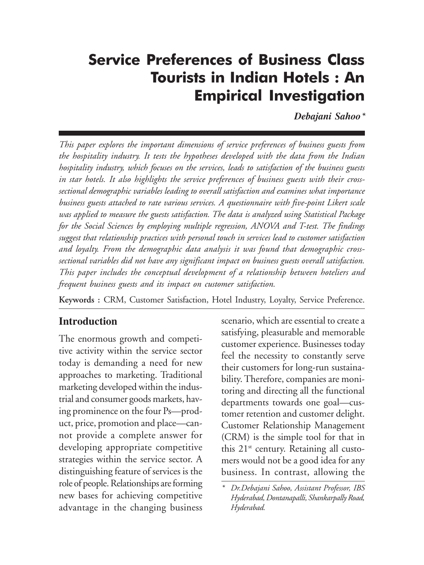#### *Service Preferences of Business Class Tourists in Indian Hotels :* Service Preferences of Business Class Tourists in Indian Hotels : An Empirical Investigation

*Debajani Sahoo\**

*This paper explores the important dimensions of service preferences of business guests from the hospitality industry. It tests the hypotheses developed with the data from the Indian hospitality industry, which focuses on the services, leads to satisfaction of the business guests in star hotels. It also highlights the service preferences of business guests with their crosssectional demographic variables leading to overall satisfaction and examines what importance business guests attached to rate various services. A questionnaire with five-point Likert scale was applied to measure the guests satisfaction. The data is analyzed using Statistical Package for the Social Sciences by employing multiple regression, ANOVA and T-test. The findings suggest that relationship practices with personal touch in services lead to customer satisfaction and loyalty. From the demographic data analysis it was found that demographic crosssectional variables did not have any significant impact on business guests overall satisfaction. This paper includes the conceptual development of a relationship between hoteliers and frequent business guests and its impact on customer satisfaction.*

**Keywords :** CRM, Customer Satisfaction, Hotel Industry, Loyalty, Service Preference.

#### **Introduction**

The enormous growth and competitive activity within the service sector today is demanding a need for new approaches to marketing. Traditional marketing developed within the industrial and consumer goods markets, having prominence on the four Ps—product, price, promotion and place—cannot provide a complete answer for developing appropriate competitive strategies within the service sector. A distinguishing feature of services is the role of people. Relationships are forming new bases for achieving competitive advantage in the changing business

scenario, which are essential to create a satisfying, pleasurable and memorable customer experience. Businesses today feel the necessity to constantly serve their customers for long-run sustainability. Therefore, companies are monitoring and directing all the functional departments towards one goal—customer retention and customer delight. Customer Relationship Management (CRM) is the simple tool for that in this 21<sup>st</sup> century. Retaining all customers would not be a good idea for any business. In contrast, allowing the

*<sup>\*</sup> Dr.Debajani Sahoo, Assistant Professor, IBS Hyderabad, Dontanapalli, Shankarpally Road, Hyderabad.*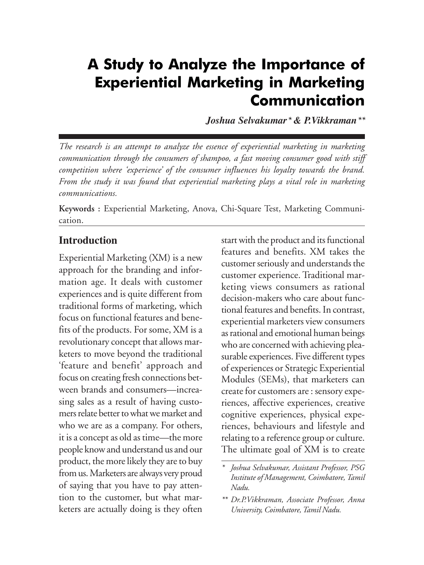# *Marketing Communication* A Study to Analyze the Importance of Experiential Marketing in Marketing Communication

*Joshua Selvakumar\* & P.Vikkraman\*\**

*The research is an attempt to analyze the essence of experiential marketing in marketing communication through the consumers of shampoo, a fast moving consumer good with stiff competition where 'experience' of the consumer influences his loyalty towards the brand. From the study it was found that experiential marketing plays a vital role in marketing communications.*

**Keywords :** Experiential Marketing, Anova, Chi-Square Test, Marketing Communication.

#### **Introduction**

Experiential Marketing (XM) is a new approach for the branding and information age. It deals with customer experiences and is quite different from traditional forms of marketing, which focus on functional features and benefits of the products. For some, XM is a revolutionary concept that allows marketers to move beyond the traditional 'feature and benefit' approach and focus on creating fresh connections between brands and consumers—increasing sales as a result of having customers relate better to what we market and who we are as a company. For others, it is a concept as old as time—the more people know and understand us and our product, the more likely they are to buy from us. Marketers are always very proud of saying that you have to pay attention to the customer, but what marketers are actually doing is they often

start with the product and its functional features and benefits. XM takes the customer seriously and understands the customer experience. Traditional marketing views consumers as rational decision-makers who care about functional features and benefits. In contrast, experiential marketers view consumers as rational and emotional human beings who are concerned with achieving pleasurable experiences. Five different types of experiences or Strategic Experiential Modules (SEMs), that marketers can create for customers are : sensory experiences, affective experiences, creative cognitive experiences, physical experiences, behaviours and lifestyle and relating to a reference group or culture. The ultimate goal of XM is to create

*<sup>\*</sup> Joshua Selvakumar, Assistant Professor, PSG Institute of Management, Coimbatore, Tamil Nadu.*

*<sup>\*\*</sup> Dr.P.Vikkraman, Associate Professor, Anna University, Coimbatore, Tamil Nadu.*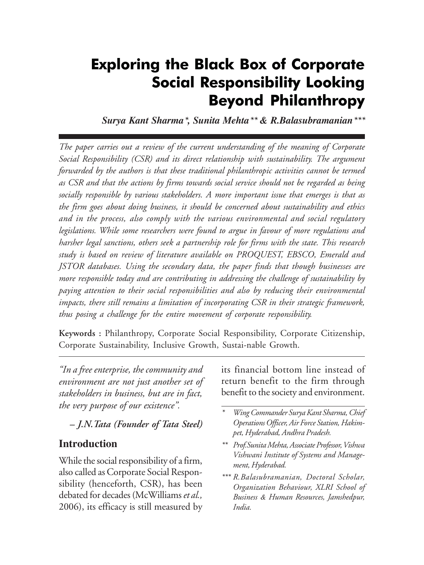# **Exploring the Black Box of Corporate** Social Responsibility Looking Beyond Philanthropy

*Surya Kant Sharma\*, Sunita Mehta\*\* & R.Balasubramanian\*\*\**

*The paper carries out a review of the current understanding of the meaning of Corporate Social Responsibility (CSR) and its direct relationship with sustainability. The argument forwarded by the authors is that these traditional philanthropic activities cannot be termed as CSR and that the actions by firms towards social service should not be regarded as being socially responsible by various stakeholders. A more important issue that emerges is that as the firm goes about doing business, it should be concerned about sustainability and ethics and in the process, also comply with the various environmental and social regulatory legislations. While some researchers were found to argue in favour of more regulations and harsher legal sanctions, others seek a partnership role for firms with the state. This research study is based on review of literature available on PROQUEST, EBSCO, Emerald and JSTOR databases. Using the secondary data, the paper finds that though businesses are more responsible today and are contributing in addressing the challenge of sustainability by paying attention to their social responsibilities and also by reducing their environmental impacts, there still remains a limitation of incorporating CSR in their strategic framework, thus posing a challenge for the entire movement of corporate responsibility.*

**Keywords :** Philanthropy, Corporate Social Responsibility, Corporate Citizenship, Corporate Sustainability, Inclusive Growth, Sustai-nable Growth.

*"In a free enterprise, the community and environment are not just another set of stakeholders in business, but are in fact, the very purpose of our existence".*

 *– J.N.Tata (Founder of Tata Steel)*

#### **Introduction**

While the social responsibility of a firm, also called as Corporate Social Responsibility (henceforth, CSR), has been debated for decades (McWilliams *et al.,* 2006), its efficacy is still measured by its financial bottom line instead of return benefit to the firm through benefit to the society and environment.

- *\* Wing Commander Surya Kant Sharma, Chief Operations Officer, Air Force Station, Hakimpet, Hyderabad, Andhra Pradesh.*
- *\*\* Prof.Sunita Mehta, Associate Professor, Vishwa Vishwani Institute of Systems and Management, Hyderabad.*
- *\*\*\* R.Balasubramanian, Doctoral Scholar, Organization Behaviour, XLRI School of Business & Human Resources, Jamshedpur, India.*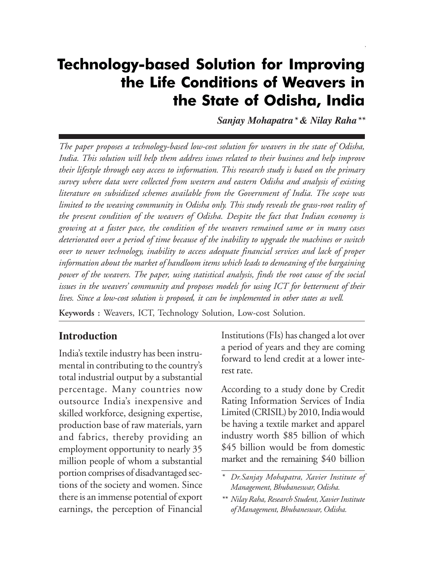## **Technology-based Solution for Improving** the Life Conditions of Weavers in the State of Odisha, India

*Sanjay Mohapatra\* & Nilay Raha\*\**

*The paper proposes a technology-based low-cost solution for weavers in the state of Odisha, India. This solution will help them address issues related to their business and help improve their lifestyle through easy access to information. This research study is based on the primary survey where data were collected from western and eastern Odisha and analysis of existing literature on subsidized schemes available from the Government of India. The scope was limited to the weaving community in Odisha only. This study reveals the grass-root reality of the present condition of the weavers of Odisha. Despite the fact that Indian economy is growing at a faster pace, the condition of the weavers remained same or in many cases deteriorated over a period of time because of the inability to upgrade the machines or switch over to newer technology, inability to access adequate financial services and lack of proper information about the market of handloom items which leads to demeaning of the bargaining power of the weavers. The paper, using statistical analysis, finds the root cause of the social issues in the weavers' community and proposes models for using ICT for betterment of their lives. Since a low-cost solution is proposed, it can be implemented in other states as well.*

**Keywords :** Weavers, ICT, Technology Solution, Low-cost Solution.

#### **Introduction**

India's textile industry has been instrumental in contributing to the country's total industrial output by a substantial percentage. Many countries now outsource India's inexpensive and skilled workforce, designing expertise, production base of raw materials, yarn and fabrics, thereby providing an employment opportunity to nearly 35 million people of whom a substantial portion comprises of disadvantaged sections of the society and women. Since there is an immense potential of export earnings, the perception of Financial Institutions (FIs) has changed a lot over a period of years and they are coming forward to lend credit at a lower interest rate.

According to a study done by Credit Rating Information Services of India Limited (CRISIL) by 2010, India would be having a textile market and apparel industry worth \$85 billion of which \$45 billion would be from domestic market and the remaining \$40 billion

*<sup>\*</sup> Dr.Sanjay Mohapatra, Xavier Institute of Management, Bhubaneswar, Odisha.*

*<sup>\*\*</sup> Nilay Raha, Research Student, Xavier Institute of Management, Bhubaneswar, Odisha.*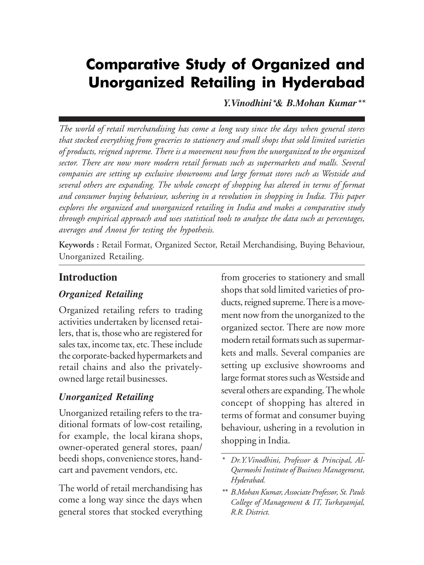# **Comparative Study of Organized and** Unorganized Retailing in Hyderabad

*Y.Vinodhini\*& B.Mohan Kumar\*\**

*The world of retail merchandising has come a long way since the days when general stores that stocked everything from groceries to stationery and small shops that sold limited varieties of products, reigned supreme. There is a movement now from the unorganized to the organized sector. There are now more modern retail formats such as supermarkets and malls. Several companies are setting up exclusive showrooms and large format stores such as Westside and several others are expanding. The whole concept of shopping has altered in terms of format and consumer buying behaviour, ushering in a revolution in shopping in India. This paper explores the organized and unorganized retailing in India and makes a comparative study through empirical approach and uses statistical tools to analyze the data such as percentages, averages and Anova for testing the hypothesis.*

**Keywords :** Retail Format, Organized Sector, Retail Merchandising, Buying Behaviour, Unorganized Retailing.

#### **Introduction**

#### *Organized Retailing*

Organized retailing refers to trading activities undertaken by licensed retailers, that is, those who are registered for sales tax, income tax, etc. These include the corporate-backed hypermarkets and retail chains and also the privatelyowned large retail businesses.

#### *Unorganized Retailing*

Unorganized retailing refers to the traditional formats of low-cost retailing, for example, the local kirana shops, owner-operated general stores, paan/ beedi shops, convenience stores, handcart and pavement vendors, etc.

The world of retail merchandising has come a long way since the days when general stores that stocked everything from groceries to stationery and small shops that sold limited varieties of products, reigned supreme. There is a movement now from the unorganized to the organized sector. There are now more modern retail formats such as supermarkets and malls. Several companies are setting up exclusive showrooms and large format stores such as Westside and several others are expanding. The whole concept of shopping has altered in terms of format and consumer buying behaviour, ushering in a revolution in shopping in India.

*<sup>\*</sup> Dr.Y.Vinodhini, Professor & Principal, Al-Qurmoshi Institute of Business Management, Hyderabad.*

*<sup>\*\*</sup> B.Mohan Kumar, Associate Professor, St. Pauls College of Management & IT, Turkayamjal, R.R. District.*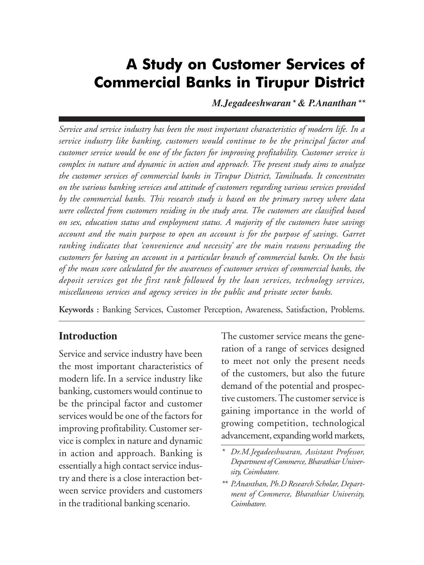# **A Study on Customer Services of** Commercial Banks in Tirupur District

*M.Jegadeeshwaran\* & P.Ananthan\*\**

*Service and service industry has been the most important characteristics of modern life. In a service industry like banking, customers would continue to be the principal factor and customer service would be one of the factors for improving profitability. Customer service is complex in nature and dynamic in action and approach. The present study aims to analyze the customer services of commercial banks in Tirupur District, Tamilnadu. It concentrates on the various banking services and attitude of customers regarding various services provided by the commercial banks. This research study is based on the primary survey where data were collected from customers residing in the study area. The customers are classified based on sex, education status and employment status. A majority of the customers have savings account and the main purpose to open an account is for the purpose of savings. Garret ranking indicates that 'convenience and necessity' are the main reasons persuading the customers for having an account in a particular branch of commercial banks. On the basis of the mean score calculated for the awareness of customer services of commercial banks, the deposit services got the first rank followed by the loan services, technology services, miscellaneous services and agency services in the public and private sector banks.*

**Keywords :** Banking Services, Customer Perception, Awareness, Satisfaction, Problems.

#### **Introduction**

Service and service industry have been the most important characteristics of modern life. In a service industry like banking, customers would continue to be the principal factor and customer services would be one of the factors for improving profitability. Customer service is complex in nature and dynamic in action and approach. Banking is essentially a high contact service industry and there is a close interaction between service providers and customers in the traditional banking scenario.

The customer service means the generation of a range of services designed to meet not only the present needs of the customers, but also the future demand of the potential and prospective customers. The customer service is gaining importance in the world of growing competition, technological advancement, expanding world markets,

*<sup>\*</sup> Dr.M.Jegadeeshwaran, Assistant Professor, Department of Commerce, Bharathiar University, Coimbatore.*

*<sup>\*\*</sup> P.Ananthan, Ph.D Research Scholar, Department of Commerce, Bharathiar University, Coimbatore.*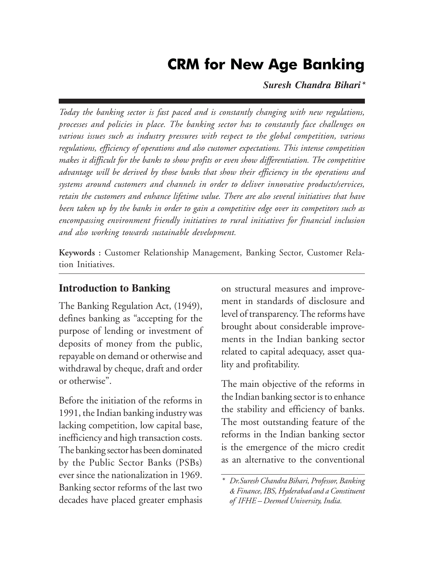#### *© 2012, Institute of Public Enterprise* CRM for New Age Banking

*Suresh Chandra Bihari\**

*Today the banking sector is fast paced and is constantly changing with new regulations, processes and policies in place. The banking sector has to constantly face challenges on various issues such as industry pressures with respect to the global competition, various regulations, efficiency of operations and also customer expectations. This intense competition makes it difficult for the banks to show profits or even show differentiation. The competitive advantage will be derived by those banks that show their efficiency in the operations and systems around customers and channels in order to deliver innovative products/services, retain the customers and enhance lifetime value. There are also several initiatives that have been taken up by the banks in order to gain a competitive edge over its competitors such as encompassing environment friendly initiatives to rural initiatives for financial inclusion and also working towards sustainable development.*

**Keywords :** Customer Relationship Management, Banking Sector, Customer Relation Initiatives.

#### **Introduction to Banking**

The Banking Regulation Act, (1949), defines banking as "accepting for the purpose of lending or investment of deposits of money from the public, repayable on demand or otherwise and withdrawal by cheque, draft and order or otherwise".

Before the initiation of the reforms in 1991, the Indian banking industry was lacking competition, low capital base, inefficiency and high transaction costs. The banking sector has been dominated by the Public Sector Banks (PSBs) ever since the nationalization in 1969. Banking sector reforms of the last two decades have placed greater emphasis

on structural measures and improvement in standards of disclosure and level of transparency. The reforms have brought about considerable improvements in the Indian banking sector related to capital adequacy, asset quality and profitability.

The main objective of the reforms in the Indian banking sector is to enhance the stability and efficiency of banks. The most outstanding feature of the reforms in the Indian banking sector is the emergence of the micro credit as an alternative to the conventional

*<sup>\*</sup> Dr.Suresh Chandra Bihari, Professor, Banking & Finance, IBS, Hyderabad and a Constituent of IFHE – Deemed University, India.*